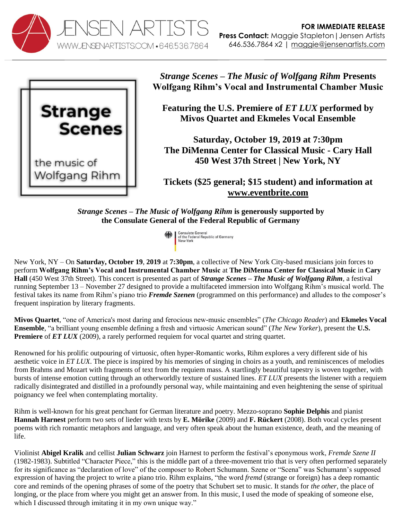



*Strange Scenes – The Music of Wolfgang Rihm* **Presents Wolfgang Rihm's Vocal and Instrumental Chamber Music**

**Featuring the U.S. Premiere of** *ET LUX* **performed by Mivos Quartet and Ekmeles Vocal Ensemble**

**Saturday, October 19, 2019 at 7:30pm The DiMenna Center for Classical Music - Cary Hall 450 West 37th Street | New York, NY**

**Tickets (\$25 general; \$15 student) and information at [www.eventbrite.com](https://www.eventbrite.com/e/strange-scenes-the-music-of-wolfgang-rihm-ii-tickets-71758901807)**

*Strange Scenes – The Music of Wolfgang Rihm* **is generously supported by the Consulate General of the Federal Republic of Germany**

> Consulate General of the Federal Republic of Germany

New York, NY – On **Saturday, October 19**, **2019** at **7:30pm**, a collective of New York City-based musicians join forces to perform **Wolfgang Rihm's Vocal and Instrumental Chamber Music** at **The DiMenna Center for Classical Music** in **Cary Hall** (450 West 37th Street). This concert is presented as part of *Strange Scenes – The Music of Wolfgang Rihm*, a festival running September 13 – November 27 designed to provide a multifaceted immersion into Wolfgang Rihm's musical world. The festival takes its name from Rihm's piano trio *Fremde Szenen* (programmed on this performance) and alludes to the composer's frequent inspiration by literary fragments.

**Mivos Quartet**, "one of America's most daring and ferocious new-music ensembles" (*The Chicago Reader*) and **Ekmeles Vocal Ensemble**, "a brilliant young ensemble defining a fresh and virtuosic American sound" (*The New Yorker*), present the **U.S. Premiere** of *ET LUX* (2009), a rarely performed requiem for vocal quartet and string quartet.

Renowned for his prolific outpouring of virtuosic, often hyper-Romantic works, Rihm explores a very different side of his aesthetic voice in *ET LUX*. The piece is inspired by his memories of singing in choirs as a youth, and reminiscences of melodies from Brahms and Mozart with fragments of text from the requiem mass. A startlingly beautiful tapestry is woven together, with bursts of intense emotion cutting through an otherworldly texture of sustained lines. *ET LUX* presents the listener with a requiem radically disintegrated and distilled in a profoundly personal way, while maintaining and even heightening the sense of spiritual poignancy we feel when contemplating mortality.

Rihm is well-known for his great penchant for German literature and poetry. Mezzo-soprano **Sophie Delphis** and pianist **Hannah Harnest** perform two sets of lieder with texts by **E. Mörike** (2009) and **F. Rückert** (2008). Both vocal cycles present poems with rich romantic metaphors and language, and very often speak about the human existence, death, and the meaning of life.

Violinist **Abigel Kralik** and cellist **Julian Schwarz** join Harnest to perform the festival's eponymous work, *Fremde Szene II* (1982-1983). Subtitled "Character Piece," this is the middle part of a three-movement trio that is very often performed separately for its significance as "declaration of love" of the composer to Robert Schumann. Szene or "Scena" was Schumann's supposed expression of having the project to write a piano trio. Rihm explains, "the word *fremd* (strange or foreign) has a deep romantic core and reminds of the opening phrases of some of the poetry that Schubert set to music. It stands for *the other*, the place of longing, or the place from where you might get an answer from. In this music, I used the mode of speaking of someone else, which I discussed through imitating it in my own unique way."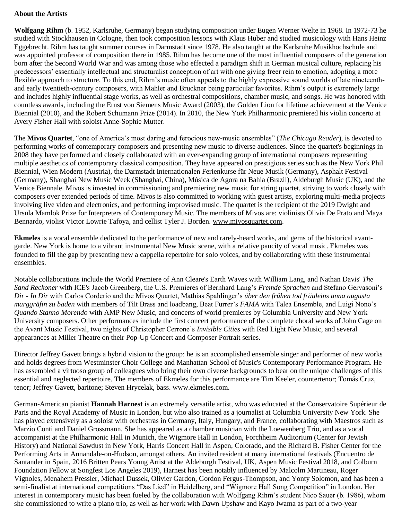## **About the Artists**

**Wolfgang Rihm** (b. 1952, Karlsruhe, Germany) began studying composition under Eugen Werner Welte in 1968. In 1972-73 he studied with Stockhausen in Cologne, then took composition lessons with Klaus Huber and studied musicology with Hans Heinz Eggebrecht. Rihm has taught summer courses in Darmstadt since 1978. He also taught at the Karlsruhe Musikhochschule and was appointed professor of composition there in 1985. Rihm has become one of the most influential composers of the generation born after the Second World War and was among those who effected a paradigm shift in German musical culture, replacing his predecessors' essentially intellectual and structuralist conception of art with one giving freer rein to emotion, adopting a more flexible approach to structure. To this end, Rihm's music often appeals to the highly expressive sound worlds of late nineteenthand early twentieth-century composers, with Mahler and Bruckner being particular favorites. Rihm's output is extremely large and includes highly influential stage works, as well as orchestral compositions, chamber music, and songs. He was honored with countless awards, including the Ernst von Siemens Music Award (2003), the Golden Lion for lifetime achievement at the Venice Biennial (2010), and the Robert Schumann Prize (2014). In 2010, the New York Philharmonic premiered his violin concerto at Avery Fisher Hall with soloist Anne-Sophie Mutter.

The **Mivos Quartet**, "one of America's most daring and ferocious new-music ensembles" (*The Chicago Reader*), is devoted to performing works of contemporary composers and presenting new music to diverse audiences. Since the quartet's beginnings in 2008 they have performed and closely collaborated with an ever-expanding group of international composers representing multiple aesthetics of contemporary classical composition. They have appeared on prestigious series such as the New York Phil Biennial, Wien Modern (Austria), the Darmstadt Internationalen Ferienkurse für Neue Musik (Germany), Asphalt Festival (Germany), Shanghai New Music Week (Shanghai, China), Música de Agora na Bahia (Brazil), Aldeburgh Music (UK), and the Venice Biennale. Mivos is invested in commissioning and premiering new music for string quartet, striving to work closely with composers over extended periods of time. Mivos is also committed to working with guest artists, exploring multi-media projects involving live video and electronics, and performing improvised music. The quartet is the recipient of the 2019 Dwight and Ursula Mamlok Prize for Interpreters of Contemporary Music. The members of Mivos are: violinists Olivia De Prato and Maya Bennardo, violist Victor Lowrie Tafoya, and cellist Tyler J. Borden. [www.mivosquartet.com.](http://www.mivosquartet.com/)

**Ekmeles** is a vocal ensemble dedicated to the performance of new and rarely-heard works, and gems of the historical avantgarde. New York is home to a vibrant instrumental New Music scene, with a relative paucity of vocal music. Ekmeles was founded to fill the gap by presenting new a cappella repertoire for solo voices, and by collaborating with these instrumental ensembles.

Notable collaborations include the World Premiere of Ann Cleare's Earth Waves with William Lang, and Nathan Davis' *The Sand Reckoner* with ICE's Jacob Greenberg, the U.S. Premieres of Bernhard Lang's *Fremde Sprachen* and Stefano Gervasoni's *Dir - In Dir* with Carlos Corderio and the Mivos Quartet, Mathias Spahlinger's *über den frühen tod fräuleins anna augusta marggräfin zu baden* with members of Tilt Brass and loadbang, Beat Furrer's *FAMA* with Talea Ensemble, and Luigi Nono's *Quando Stanno Morendo* with AMP New Music, and concerts of world premieres by Columbia University and New York University composers. Other performances include the first concert performance of the complete choral works of John Cage on the Avant Music Festival, two nights of Christopher Cerrone's *Invisible Cities* with Red Light New Music, and several appearances at Miller Theatre on their Pop-Up Concert and Composer Portrait series.

Director Jeffrey Gavett brings a hybrid vision to the group: he is an accomplished ensemble singer and performer of new works and holds degrees from Westminster Choir College and Manhattan School of Music's Contemporary Performance Program. He has assembled a virtuoso group of colleagues who bring their own diverse backgrounds to bear on the unique challenges of this essential and neglected repertoire. The members of Ekmeles for this performance are Tim Keeler, countertenor; Tomás Cruz, tenor; Jeffrey Gavett, baritone; Steven Hrycelak, bass. [www.ekmeles.com.](http://www.ekmeles.com/)

German-American pianist **Hannah Harnest** is an extremely versatile artist, who was educated at the Conservatoire Supérieur de Paris and the Royal Academy of Music in London, but who also trained as a journalist at Columbia University New York. She has played extensively as a soloist with orchestras in Germany, Italy, Hungary, and France, collaborating with Maestros such as Marzio Conti and Daniel Grossmann. She has appeared as a chamber musician with the Loewenberg Trio, and as a vocal accompanist at the Philharmonic Hall in Munich, the Wigmore Hall in London, Forchheim Auditorium (Center for Jewish History) and National Sawdust in New York, Harris Concert Hall in Aspen, Colorado, and the Richard B. Fisher Center for the Performing Arts in Annandale-on-Hudson, amongst others. An invited resident at many international festivals (Encuentro de Santander in Spain, 2016 Britten Pears Young Artist at the Aldeburgh Festival, UK, Aspen Music Festival 2018, and Colburn Foundation Fellow at Songfest Los Angeles 2019), Harnest has been notably influenced by Malcolm Martineau, Roger Vignoles, Menahem Pressler, Michael Dussek, Olivier Gardon, Gordon Fergus-Thompson, and Yonty Solomon, and has been a semi-finalist at international competitions "Das Lied" in Heidelberg, and "Wigmore Hall Song Competition" in London. Her interest in contemporary music has been fueled by the collaboration with Wolfgang Rihm's student Nico Sauer (b. 1986), whom she commissioned to write a piano trio, as well as her work with Dawn Upshaw and Kayo Iwama as part of a two-year